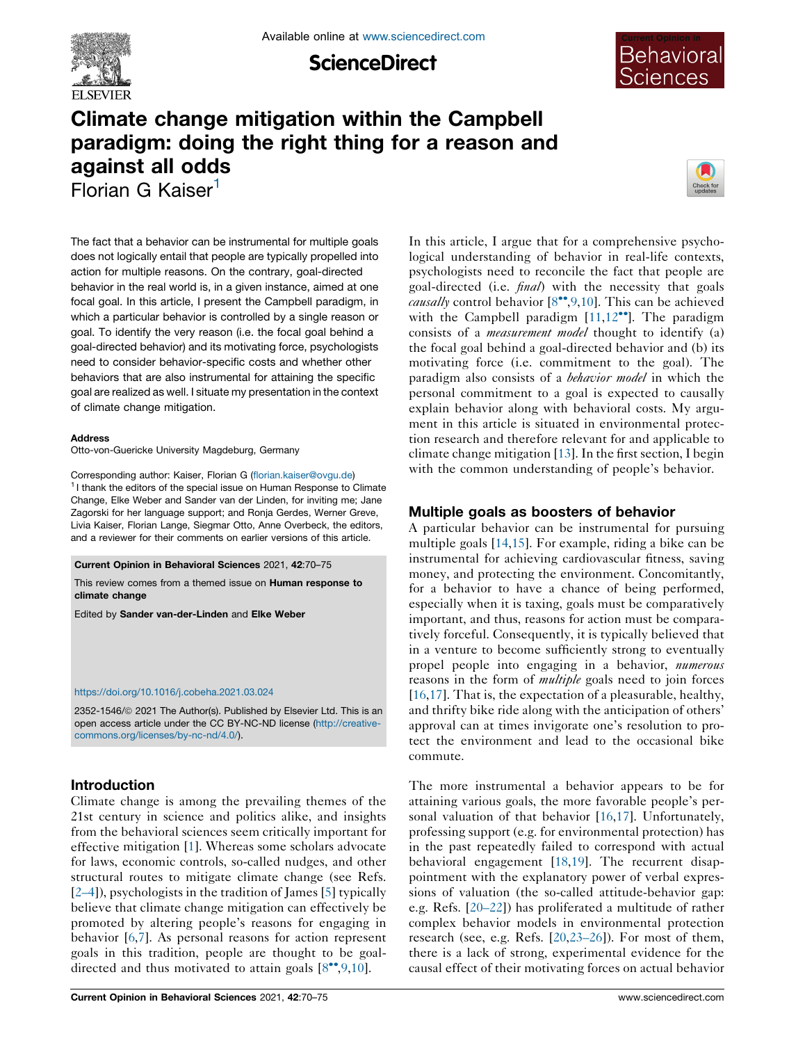

**ScienceDirect** 



# Climate change mitigation within the Campbell paradigm: doing the right thing for a reason and against all odds Florian G Kaiser<sup>1</sup>



The fact that a behavior can be instrumental for multiple goals does not logically entail that people are typically propelled into action for multiple reasons. On the contrary, goal-directed behavior in the real world is, in a given instance, aimed at one focal goal. In this article, I present the Campbell paradigm, in which a particular behavior is controlled by a single reason or goal. To identify the very reason (i.e. the focal goal behind a goal-directed behavior) and its motivating force, psychologists need to consider behavior-specific costs and whether other behaviors that are also instrumental for attaining the specific goal are realized as well. I situate my presentation in the context of climate change mitigation.

#### Address

Otto-von-Guericke University Magdeburg, Germany

Corresponding author: Kaiser, Florian G ([florian.kaiser@ovgu.de](mailto:florian.kaiser@ovgu.de)) <sup>1</sup> I thank the editors of the special issue on Human Response to Climate Change, Elke Weber and Sander van der Linden, for inviting me; Jane Zagorski for her language support; and Ronja Gerdes, Werner Greve, Livia Kaiser, Florian Lange, Siegmar Otto, Anne Overbeck, the editors, and a reviewer for their comments on earlier versions of this article.

Current Opinion in Behavioral Sciences 2021, 42:70–75

This review comes from a themed issue on Human response to climate change

Edited by Sander van-der-Linden and Elke Weber

#### <https://doi.org/10.1016/j.cobeha.2021.03.024>

2352-1546/@ 2021 The Author(s). Published by Elsevier Ltd. This is an open access article under the CC BY-NC-ND license [\(http://creative](http://creativecommons.org/licenses/by-nc-nd/4.0/)[commons.org/licenses/by-nc-nd/4.0/](http://creativecommons.org/licenses/by-nc-nd/4.0/)).

# Introduction

Climate change is among the prevailing themes of the 21st century in science and politics alike, and insights from the behavioral sciences seem critically important for effective mitigation [\[1](#page-4-0)]. Whereas some scholars advocate for laws, economic controls, so-called nudges, and other structural routes to mitigate climate change (see Refs. [\[2–4](#page-4-0)]), psychologists in the tradition of James [\[5](#page-4-0)] typically believe that climate change mitigation can effectively be promoted by altering people's reasons for engaging in behavior [[6,7](#page-4-0)]. As personal reasons for action represent goals in this tradition, people are thought to be goaldirected and thus motivated to attain goals  $[8\degree, 9, 10]$ .

In this article, I argue that for a comprehensive psychological understanding of behavior in real-life contexts, psychologists need to reconcile the fact that people are goal-directed (i.e. *final*) with the necessity that goals *causally* control behavior  $[8\degree, 9, 10]$  $[8\degree, 9, 10]$ . This can be achieved with the Campbell paradigm  $[11,12$  $[11,12$  $[11,12$ <sup>\*\*</sup>]. The paradigm consists of a measurement model thought to identify (a) the focal goal behind a goal-directed behavior and (b) its motivating force (i.e. commitment to the goal). The paradigm also consists of a behavior model in which the personal commitment to a goal is expected to causally explain behavior along with behavioral costs. My argument in this article is situated in environmental protection research and therefore relevant for and applicable to climate change mitigation  $[13]$  $[13]$ . In the first section, I begin with the common understanding of people's behavior.

# Multiple goals as boosters of behavior

A particular behavior can be instrumental for pursuing multiple goals [\[14](#page-4-0),[15\]](#page-4-0). For example, riding a bike can be instrumental for achieving cardiovascular fitness, saving money, and protecting the environment. Concomitantly, for a behavior to have a chance of being performed, especially when it is taxing, goals must be comparatively important, and thus, reasons for action must be comparatively forceful. Consequently, it is typically believed that in a venture to become sufficiently strong to eventually propel people into engaging in a behavior, numerous reasons in the form of *multiple* goals need to join forces [\[16](#page-4-0),[17\]](#page-4-0). That is, the expectation of a pleasurable, healthy, and thrifty bike ride along with the anticipation of others' approval can at times invigorate one's resolution to protect the environment and lead to the occasional bike commute.

The more instrumental a behavior appears to be for attaining various goals, the more favorable people's personal valuation of that behavior [[16,17](#page-4-0)]. Unfortunately, professing support (e.g. for environmental protection) has in the past repeatedly failed to correspond with actual behavioral engagement [\[18](#page-4-0),[19\]](#page-4-0). The recurrent disappointment with the explanatory power of verbal expressions of valuation (the so-called attitude-behavior gap: e.g. Refs. [[20–22\]](#page-4-0)) has proliferated a multitude of rather complex behavior models in environmental protection research (see, e.g. Refs. [\[20](#page-4-0),[23–26\]](#page-4-0)). For most of them, there is a lack of strong, experimental evidence for the causal effect of their motivating forces on actual behavior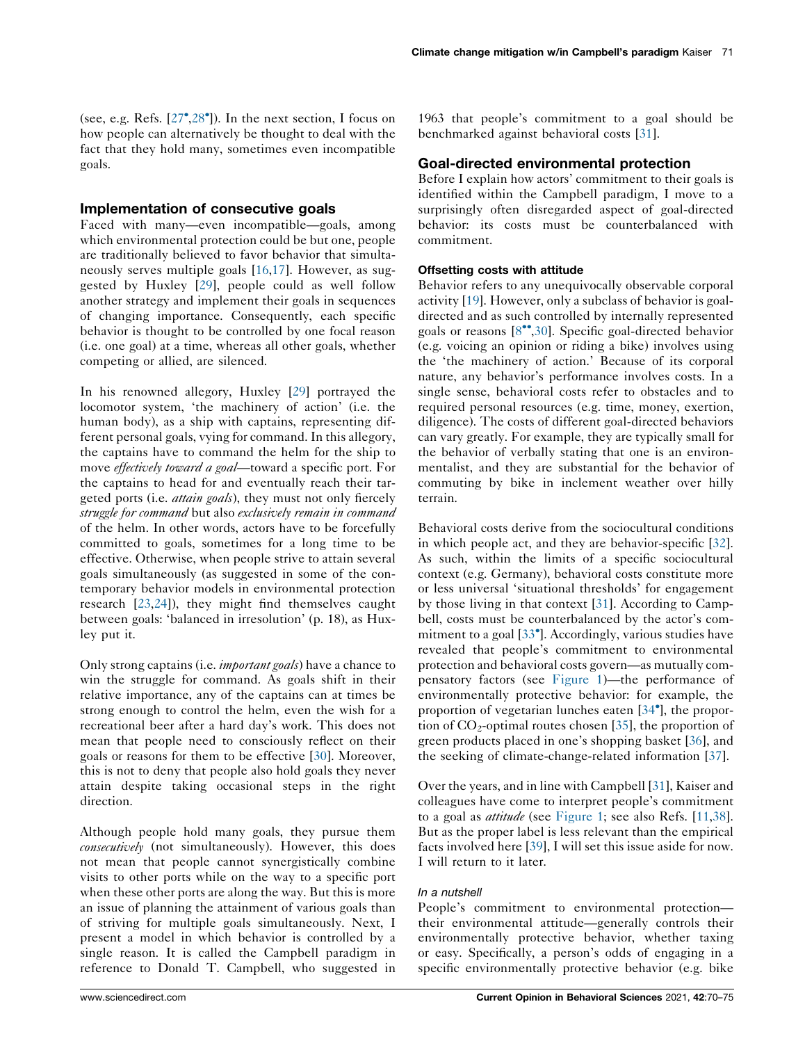(see, e.g. Refs.  $[27^{\bullet}, 28^{\bullet}]$  $[27^{\bullet}, 28^{\bullet}]$  $[27^{\bullet}, 28^{\bullet}]$  $[27^{\bullet}, 28^{\bullet}]$ ). In the next section, I focus on how people can alternatively be thought to deal with the fact that they hold many, sometimes even incompatible goals.

# Implementation of consecutive goals

Faced with many—even incompatible—goals, among which environmental protection could be but one, people are traditionally believed to favor behavior that simultaneously serves multiple goals [[16,17](#page-4-0)]. However, as suggested by Huxley [[29\]](#page-5-0), people could as well follow another strategy and implement their goals in sequences of changing importance. Consequently, each specific behavior is thought to be controlled by one focal reason (i.e. one goal) at a time, whereas all other goals, whether competing or allied, are silenced.

In his renowned allegory, Huxley [[29\]](#page-5-0) portrayed the locomotor system, 'the machinery of action' (i.e. the human body), as a ship with captains, representing different personal goals, vying for command. In this allegory, the captains have to command the helm for the ship to move *effectively toward a goal*—toward a specific port. For the captains to head for and eventually reach their targeted ports (i.e. *attain goals*), they must not only fiercely struggle for command but also exclusively remain in command of the helm. In other words, actors have to be forcefully committed to goals, sometimes for a long time to be effective. Otherwise, when people strive to attain several goals simultaneously (as suggested in some of the contemporary behavior models in environmental protection research [[23,24](#page-4-0)]), they might find themselves caught between goals: 'balanced in irresolution' (p. 18), as Huxley put it.

Only strong captains (i.e. *important goals*) have a chance to win the struggle for command. As goals shift in their relative importance, any of the captains can at times be strong enough to control the helm, even the wish for a recreational beer after a hard day's work. This does not mean that people need to consciously reflect on their goals or reasons for them to be effective [[30\]](#page-5-0). Moreover, this is not to deny that people also hold goals they never attain despite taking occasional steps in the right direction.

Although people hold many goals, they pursue them consecutively (not simultaneously). However, this does not mean that people cannot synergistically combine visits to other ports while on the way to a specific port when these other ports are along the way. But this is more an issue of planning the attainment of various goals than of striving for multiple goals simultaneously. Next, I present a model in which behavior is controlled by a single reason. It is called the Campbell paradigm in reference to Donald T. Campbell, who suggested in

1963 that people's commitment to a goal should be benchmarked against behavioral costs [[31\]](#page-5-0).

# Goal-directed environmental protection

Before I explain how actors' commitment to their goals is identified within the Campbell paradigm, I move to a surprisingly often disregarded aspect of goal-directed behavior: its costs must be counterbalanced with commitment.

# Offsetting costs with attitude

Behavior refers to any unequivocally observable corporal activity [[19\]](#page-4-0). However, only a subclass of behavior is goaldirected and as such controlled by internally represented goals or reasons  $[8\degree, 30]$  $[8\degree, 30]$ . Specific goal-directed behavior (e.g. voicing an opinion or riding a bike) involves using the 'the machinery of action.' Because of its corporal nature, any behavior's performance involves costs. In a single sense, behavioral costs refer to obstacles and to required personal resources (e.g. time, money, exertion, diligence). The costs of different goal-directed behaviors can vary greatly. For example, they are typically small for the behavior of verbally stating that one is an environmentalist, and they are substantial for the behavior of commuting by bike in inclement weather over hilly terrain.

Behavioral costs derive from the sociocultural conditions in which people act, and they are behavior-specific [[32\]](#page-5-0). As such, within the limits of a specific sociocultural context (e.g. Germany), behavioral costs constitute more or less universal 'situational thresholds' for engagement by those living in that context [[31\]](#page-5-0). According to Campbell, costs must be counterbalanced by the actor's com-mitment to a goal [\[33](#page-5-0)<sup>°</sup>]. Accordingly, various studies have revealed that people's commitment to environmental protection and behavioral costs govern—as mutually compensatory factors (see [Figure](#page-2-0) 1)—the performance of environmentally protective behavior: for example, the proportion of vegetarian lunches eaten [[34](#page-5-0) ], the proportion of  $CO_2$ -optimal routes chosen [[35\]](#page-5-0), the proportion of green products placed in one's shopping basket [[36\]](#page-5-0), and the seeking of climate-change-related information [[37\]](#page-5-0).

Over the years, and in line with Campbell [[31\]](#page-5-0), Kaiser and colleagues have come to interpret people's commitment to a goal as *attitude* (see [Figure](#page-2-0) 1; see also Refs. [\[11](#page-4-0),[38\]](#page-5-0). But as the proper label is less relevant than the empirical facts involved here [\[39](#page-5-0)], I will set this issue aside for now. I will return to it later.

# In a nutshell

People's commitment to environmental protection their environmental attitude—generally controls their environmentally protective behavior, whether taxing or easy. Specifically, a person's odds of engaging in a specific environmentally protective behavior (e.g. bike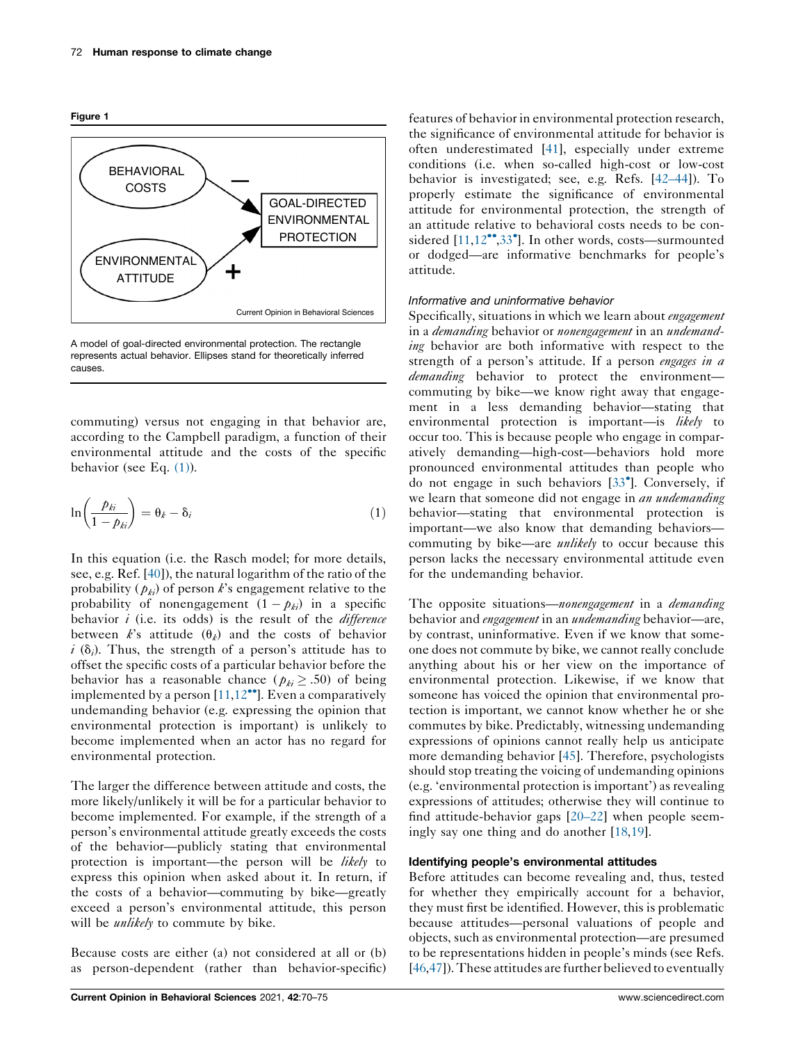<span id="page-2-0"></span>Figure 1



A model of goal-directed environmental protection. The rectangle represents actual behavior. Ellipses stand for theoretically inferred causes.

commuting) versus not engaging in that behavior are, according to the Campbell paradigm, a function of their environmental attitude and the costs of the specific behavior (see Eq. (1)).

$$
\ln\left(\frac{p_{ki}}{1-p_{ki}}\right) = \theta_k - \delta_i \tag{1}
$$

In this equation (i.e. the Rasch model; for more details, see, e.g. Ref. [\[40](#page-5-0)]), the natural logarithm of the ratio of the probability ( $p_{ki}$ ) of person k's engagement relative to the probability of nonengagement  $(1 - p_{ki})$  in a specific behavior  $i$  (i.e. its odds) is the result of the *difference* between k's attitude  $(\theta_k)$  and the costs of behavior  $i$  ( $\delta_i$ ). Thus, the strength of a person's attitude has to offset the specific costs of a particular behavior before the behavior has a reasonable chance ( $p_{ki} \ge .50$ ) of being implemented by a person  $[11,12$  $[11,12$ <sup>\*\*</sup>]. Even a comparatively undemanding behavior (e.g. expressing the opinion that environmental protection is important) is unlikely to become implemented when an actor has no regard for environmental protection.

The larger the difference between attitude and costs, the more likely/unlikely it will be for a particular behavior to become implemented. For example, if the strength of a person's environmental attitude greatly exceeds the costs of the behavior—publicly stating that environmental protection is important—the person will be likely to express this opinion when asked about it. In return, if the costs of a behavior—commuting by bike—greatly exceed a person's environmental attitude, this person will be *unlikely* to commute by bike.

Because costs are either (a) not considered at all or (b) as person-dependent (rather than behavior-specific) features of behavior in environmental protection research, the significance of environmental attitude for behavior is often underestimated [\[41](#page-5-0)], especially under extreme conditions (i.e. when so-called high-cost or low-cost behavior is investigated; see, e.g. Refs. [[42–44\]](#page-5-0)). To properly estimate the significance of environmental attitude for environmental protection, the strength of an attitude relative to behavioral costs needs to be considered  $[11, 12$  $[11, 12$  $[11, 12$ <sup>\*\*</sup>[,33](#page-5-0)<sup>\*</sup>]. In other words, costs—surmounted or dodged—are informative benchmarks for people's attitude.

#### Informative and uninformative behavior

Specifically, situations in which we learn about *engagement* in a *demanding* behavior or *nonengagement* in an *undemand*ing behavior are both informative with respect to the strength of a person's attitude. If a person engages in a demanding behavior to protect the environmentcommuting by bike—we know right away that engagement in a less demanding behavior—stating that environmental protection is important—is likely to occur too. This is because people who engage in comparatively demanding—high-cost—behaviors hold more pronounced environmental attitudes than people who do not engage in such behaviors [\[33](#page-5-0) ]. Conversely, if we learn that someone did not engage in *an undemanding* behavior—stating that environmental protection is important—we also know that demanding behaviors commuting by bike—are *unlikely* to occur because this person lacks the necessary environmental attitude even for the undemanding behavior.

The opposite situations—nonengagement in a demanding behavior and *engagement* in an *undemanding* behavior—are, by contrast, uninformative. Even if we know that someone does not commute by bike, we cannot really conclude anything about his or her view on the importance of environmental protection. Likewise, if we know that someone has voiced the opinion that environmental protection is important, we cannot know whether he or she commutes by bike. Predictably, witnessing undemanding expressions of opinions cannot really help us anticipate more demanding behavior [\[45](#page-5-0)]. Therefore, psychologists should stop treating the voicing of undemanding opinions (e.g. 'environmental protection is important') as revealing expressions of attitudes; otherwise they will continue to find attitude-behavior gaps [\[20–22](#page-4-0)] when people seemingly say one thing and do another [[18,19](#page-4-0)].

#### Identifying people's environmental attitudes

Before attitudes can become revealing and, thus, tested for whether they empirically account for a behavior, they must first be identified. However, this is problematic because attitudes—personal valuations of people and objects, such as environmental protection—are presumed to be representations hidden in people's minds (see Refs. [\[46](#page-5-0),[47\]](#page-5-0)). These attitudes are further believed to eventually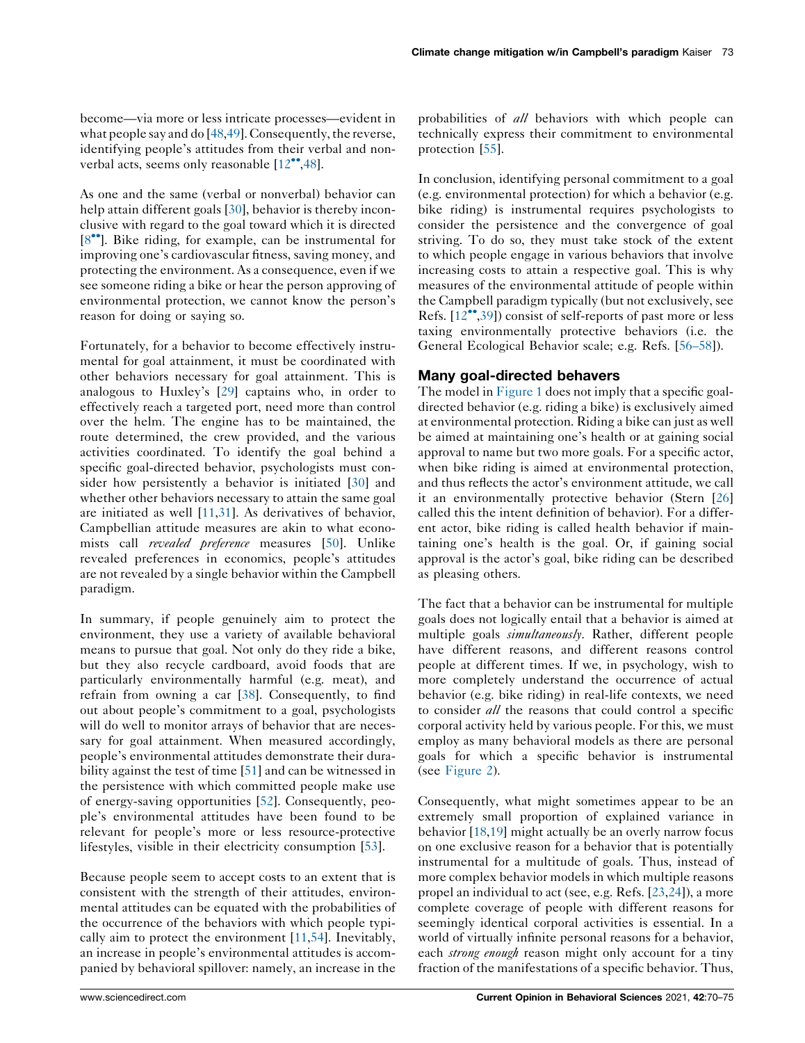become—via more or less intricate processes—evident in what people say and do [\[48](#page-5-0),[49\]](#page-5-0). Consequently, the reverse, identifying people's attitudes from their verbal and nonverbal acts, seems only reasonable  $[12^{\bullet\bullet}, 48]$  $[12^{\bullet\bullet}, 48]$  $[12^{\bullet\bullet}, 48]$ .

As one and the same (verbal or nonverbal) behavior can help attain different goals [\[30](#page-5-0)], behavior is thereby inconclusive with regard to the goal toward which it is directed [8<sup>\*\*</sup>]. Bike riding, for example, can be instrumental for improving one's cardiovascular fitness, saving money, and protecting the environment. As a consequence, even if we see someone riding a bike or hear the person approving of environmental protection, we cannot know the person's reason for doing or saying so.

Fortunately, for a behavior to become effectively instrumental for goal attainment, it must be coordinated with other behaviors necessary for goal attainment. This is analogous to Huxley's [\[29](#page-5-0)] captains who, in order to effectively reach a targeted port, need more than control over the helm. The engine has to be maintained, the route determined, the crew provided, and the various activities coordinated. To identify the goal behind a specific goal-directed behavior, psychologists must con-sider how persistently a behavior is initiated [[30\]](#page-5-0) and whether other behaviors necessary to attain the same goal are initiated as well [[11](#page-4-0)[,31](#page-5-0)]. As derivatives of behavior, Campbellian attitude measures are akin to what economists call *revealed preference* measures [\[50](#page-5-0)]. Unlike revealed preferences in economics, people's attitudes are not revealed by a single behavior within the Campbell paradigm.

In summary, if people genuinely aim to protect the environment, they use a variety of available behavioral means to pursue that goal. Not only do they ride a bike, but they also recycle cardboard, avoid foods that are particularly environmentally harmful (e.g. meat), and refrain from owning a car [\[38](#page-5-0)]. Consequently, to find out about people's commitment to a goal, psychologists will do well to monitor arrays of behavior that are necessary for goal attainment. When measured accordingly, people's environmental attitudes demonstrate their durability against the test of time [\[51](#page-5-0)] and can be witnessed in the persistence with which committed people make use of energy-saving opportunities [\[52](#page-5-0)]. Consequently, people's environmental attitudes have been found to be relevant for people's more or less resource-protective lifestyles, visible in their electricity consumption [[53\]](#page-5-0).

Because people seem to accept costs to an extent that is consistent with the strength of their attitudes, environmental attitudes can be equated with the probabilities of the occurrence of the behaviors with which people typically aim to protect the environment [\[11](#page-4-0),[54\]](#page-5-0). Inevitably, an increase in people's environmental attitudes is accompanied by behavioral spillover: namely, an increase in the

probabilities of all behaviors with which people can technically express their commitment to environmental protection [\[55](#page-5-0)].

In conclusion, identifying personal commitment to a goal (e.g. environmental protection) for which a behavior (e.g. bike riding) is instrumental requires psychologists to consider the persistence and the convergence of goal striving. To do so, they must take stock of the extent to which people engage in various behaviors that involve increasing costs to attain a respective goal. This is why measures of the environmental attitude of people within the Campbell paradigm typically (but not exclusively, see Refs.  $[12^{\bullet\bullet},39]$  $[12^{\bullet\bullet},39]$  $[12^{\bullet\bullet},39]$  $[12^{\bullet\bullet},39]$  $[12^{\bullet\bullet},39]$  consist of self-reports of past more or less taxing environmentally protective behaviors (i.e. the General Ecological Behavior scale; e.g. Refs. [[56–58\]](#page-5-0)).

#### Many goal-directed behavers

The model in [Figure](#page-2-0) 1 does not imply that a specific goaldirected behavior (e.g. riding a bike) is exclusively aimed at environmental protection. Riding a bike can just as well be aimed at maintaining one's health or at gaining social approval to name but two more goals. For a specific actor, when bike riding is aimed at environmental protection, and thus reflects the actor's environment attitude, we call it an environmentally protective behavior (Stern [\[26](#page-4-0)] called this the intent definition of behavior). For a different actor, bike riding is called health behavior if maintaining one's health is the goal. Or, if gaining social approval is the actor's goal, bike riding can be described as pleasing others.

The fact that a behavior can be instrumental for multiple goals does not logically entail that a behavior is aimed at multiple goals simultaneously. Rather, different people have different reasons, and different reasons control people at different times. If we, in psychology, wish to more completely understand the occurrence of actual behavior (e.g. bike riding) in real-life contexts, we need to consider all the reasons that could control a specific corporal activity held by various people. For this, we must employ as many behavioral models as there are personal goals for which a specific behavior is instrumental (see [Figure](#page-4-0) 2).

Consequently, what might sometimes appear to be an extremely small proportion of explained variance in behavior [[18](#page-4-0),[19\]](#page-4-0) might actually be an overly narrow focus on one exclusive reason for a behavior that is potentially instrumental for a multitude of goals. Thus, instead of more complex behavior models in which multiple reasons propel an individual to act (see, e.g. Refs. [\[23](#page-4-0),[24\]](#page-4-0)), a more complete coverage of people with different reasons for seemingly identical corporal activities is essential. In a world of virtually infinite personal reasons for a behavior, each *strong enough* reason might only account for a tiny fraction of the manifestations of a specific behavior. Thus,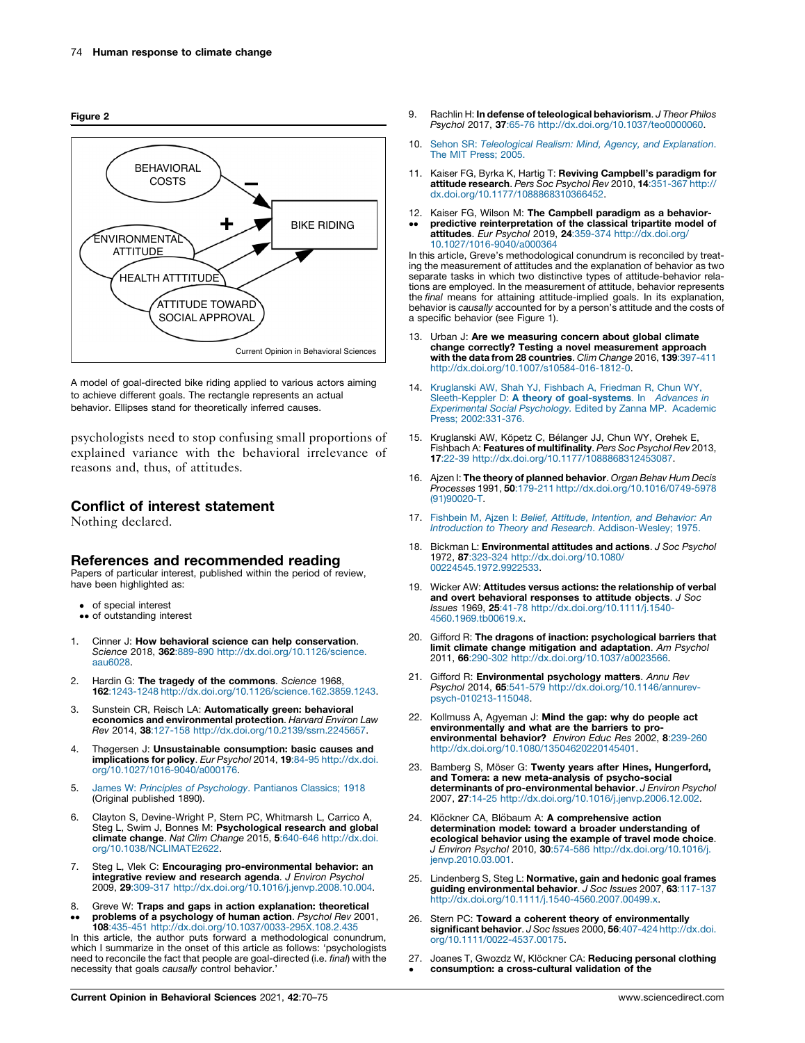<span id="page-4-0"></span>Figure 2



A model of goal-directed bike riding applied to various actors aiming to achieve different goals. The rectangle represents an actual behavior. Ellipses stand for theoretically inferred causes.

psychologists need to stop confusing small proportions of explained variance with the behavioral irrelevance of reasons and, thus, of attitudes.

### Conflict of interest statement

Nothing declared.

### References and recommended reading

Papers of particular interest, published within the period of review, have been highlighted as:

- of special interest •• of outstanding interest
- 1. Cinner J: How behavioral science can help conservation. Science 2018, 362:889-890 [http://dx.doi.org/10.1126/science.](http://dx.doi.org/10.1126/science.aau6028) [aau6028](http://dx.doi.org/10.1126/science.aau6028).
- 2. Hardin G: The tragedy of the commons. Science 1968, 162:1243-1248 <http://dx.doi.org/10.1126/science.162.3859.1243>.
- 3. Sunstein CR, Reisch LA: Automatically green: behavioral economics and environmental protection. Harvard Environ Law Rev 2014, 38:127-158 <http://dx.doi.org/10.2139/ssrn.2245657>.
- 4. Thøgersen J: Unsustainable consumption: basic causes and **implications for policy**. *Eur Psychol* 2014, **19**:84-95 [http://dx.doi.](http://dx.doi.org/10.1027/1016-9040/a000176)<br>[org/10.1027/1016-9040/a000176](http://dx.doi.org/10.1027/1016-9040/a000176).
- 5. James W: Principles of [Psychology](http://refhub.elsevier.com/S2352-1546(21)00072-3/sbref0025). Pantianos Classics; 1918 (Original published 1890).
- 6. Clayton S, Devine-Wright P, Stern PC, Whitmarsh L, Carrico A, Steg L, Swim J, Bonnes M: Psychological research and global climate change. Nat Clim Change 2015, 5:640-646 [http://dx.doi.](http://dx.doi.org/10.1038/NCLIMATE2622) [org/10.1038/NCLIMATE2622.](http://dx.doi.org/10.1038/NCLIMATE2622)
- 7. Steg L, Vlek C: **Encouraging pro-environmental behavior: an<br>integrative review and research agenda**. *J Environ Psychol* 2009, 29:309-317 <http://dx.doi.org/10.1016/j.jenvp.2008.10.004>.
- 8.  $\ddot{\phantom{0}}$ Greve W: Traps and gaps in action explanation: theoretical problems of a psychology of human action. Psychol Rev 2001,

108:435-451 <http://dx.doi.org/10.1037/0033-295X.108.2.435> In this article, the author puts forward a methodological conundrum, which I summarize in the onset of this article as follows: 'psychologists need to reconcile the fact that people are goal-directed (i.e. final) with the necessity that goals causally control behavior.'

- 9. Rachlin H: In defense of teleological behaviorism. J Theor Philos Psychol 2017, 37:65-76 <http://dx.doi.org/10.1037/teo0000060>.
- 10. Sehon SR: [Teleological](http://refhub.elsevier.com/S2352-1546(21)00072-3/sbref0050) Realism: Mind, Agency, and Explanation. The MIT Press: 2005.
- 11. Kaiser FG, Byrka K, Hartig T: Reviving Campbell's paradigm for attitude research. Pers Soc Psychol Rev 2010, 14:351-367 [http://](http://dx.doi.org/10.1177/1088868310366452) [dx.doi.org/10.1177/1088868310366452](http://dx.doi.org/10.1177/1088868310366452).
- 12. Kaiser FG, Wilson M: The Campbell paradigm as a behavior- $\ddot{\phantom{0}}$ predictive reinterpretation of the classical tripartite model of attitudes. Eur Psychol 2019, 24:359-374 [http://dx.doi.org/](http://dx.doi.org/10.1027/1016-9040/a000364) [10.1027/1016-9040/a000364](http://dx.doi.org/10.1027/1016-9040/a000364)

In this article, Greve's methodological conundrum is reconciled by treating the measurement of attitudes and the explanation of behavior as two separate tasks in which two distinctive types of attitude-behavior relations are employed. In the measurement of attitude, behavior represents the final means for attaining attitude-implied goals. In its explanation, behavior is causally accounted for by a person's attitude and the costs of a specific behavior (see Figure 1).

- 13. Urban J: Are we measuring concern about global climate change correctly? Testing a novel measurement approach with the data from 28 countries. Clim Change 2016, 139:397-411 [http://dx.doi.org/10.1007/s10584-016-1812-0.](http://dx.doi.org/10.1007/s10584-016-1812-0)
- 14. [Kruglanski](http://refhub.elsevier.com/S2352-1546(21)00072-3/sbref0070) AW, Shah YJ, Fishbach A, Friedman R, Chun WY, [Sleeth-Keppler](http://refhub.elsevier.com/S2352-1546(21)00072-3/sbref0070) D: A theory of goal-systems. In Advances in [Experimental](http://refhub.elsevier.com/S2352-1546(21)00072-3/sbref0070) Social Psychology. Edited by Zanna MP. Academic Press; [2002:331-376](http://refhub.elsevier.com/S2352-1546(21)00072-3/sbref0070).
- 15. Kruglanski AW, Köpetz C, Bélanger JJ, Chun WY, Orehek E, Fishbach A: Features of multifinality. Pers Soc Psychol Rev 2013, 17:22-39 <http://dx.doi.org/10.1177/1088868312453087>.
- 16. Ajzen I: The theory of planned behavior. Organ Behav Hum Decis Processes 1991, 50:179-211 [http://dx.doi.org/10.1016/0749-5978](http://dx.doi.org/10.1016/0749-5978(91)90020-T) [\(91\)90020-T](http://dx.doi.org/10.1016/0749-5978(91)90020-T).
- 17. Fishbein M, Ajzen I: Belief, Attitude, Intention, and [Behavior:](http://refhub.elsevier.com/S2352-1546(21)00072-3/sbref0085) An Introduction to Theory and Research. [Addison-Wesley;](http://refhub.elsevier.com/S2352-1546(21)00072-3/sbref0085) 1975.
- 18. Bickman L: Environmental attitudes and actions. J Soc Psychol 1972, 87:323-324 [http://dx.doi.org/10.1080/](http://dx.doi.org/10.1080/00224545.1972.9922533) [00224545.1972.9922533](http://dx.doi.org/10.1080/00224545.1972.9922533).
- 19. Wicker AW: Attitudes versus actions: the relationship of verbal and overt behavioral responses to attitude objects. J Soc Issues 1969, 25:41-78 [http://dx.doi.org/10.1111/j.1540-](http://dx.doi.org/10.1111/j.1540-4560.1969.tb00619.x) [4560.1969.tb00619.x](http://dx.doi.org/10.1111/j.1540-4560.1969.tb00619.x).
- 20. Gifford R: The dragons of inaction: psychological barriers that limit climate change mitigation and adaptation. Am Psychol 2011, 66:290-302 <http://dx.doi.org/10.1037/a0023566>.
- 21. Gifford R: Environmental psychology matters. Annu Rev Psychol 2014, 65:541-579 [http://dx.doi.org/10.1146/annurev](http://dx.doi.org/10.1146/annurev-psych-010213-115048)[psych-010213-115048.](http://dx.doi.org/10.1146/annurev-psych-010213-115048)
- 22. Kollmuss A, Agyeman J: Mind the gap: why do people act environmentally and what are the barriers to proenvironmental behavior? Environ Educ Res 2002, 8:239-260 [http://dx.doi.org/10.1080/13504620220145401.](http://dx.doi.org/10.1080/13504620220145401)
- 23. Bamberg S, Möser G: Twenty years after Hines, Hungerford, and Tomera: a new meta-analysis of psycho-social determinants of pro-environmental behavior. J Environ Psychol 2007, 27:14-25 <http://dx.doi.org/10.1016/j.jenvp.2006.12.002>.
- 24. Klöckner CA, Blöbaum A: A comprehensive action determination model: toward a broader understanding of ecological behavior using the example of travel mode choice. J Environ Psychol 2010, 30:574-586 [http://dx.doi.org/10.1016/j.](http://dx.doi.org/10.1016/j.jenvp.2010.03.001) [jenvp.2010.03.001](http://dx.doi.org/10.1016/j.jenvp.2010.03.001).
- 25. Lindenberg S, Steg L: Normative, gain and hedonic goal frames guiding environmental behavior. J Soc Issues 2007, 63:117-137 [http://dx.doi.org/10.1111/j.1540-4560.2007.00499.x.](http://dx.doi.org/10.1111/j.1540-4560.2007.00499.x)
- 26. Stern PC: Toward a coherent theory of environmentally significant behavior. J Soc Issues 2000, 56:407-424 [http://dx.doi.](http://dx.doi.org/10.1111/0022-4537.00175) [org/10.1111/0022-4537.00175](http://dx.doi.org/10.1111/0022-4537.00175).
- 27. Joanes T, Gwozdz W, Klöckner CA: Reducing personal clothing  $\bullet$ consumption: a cross-cultural validation of the